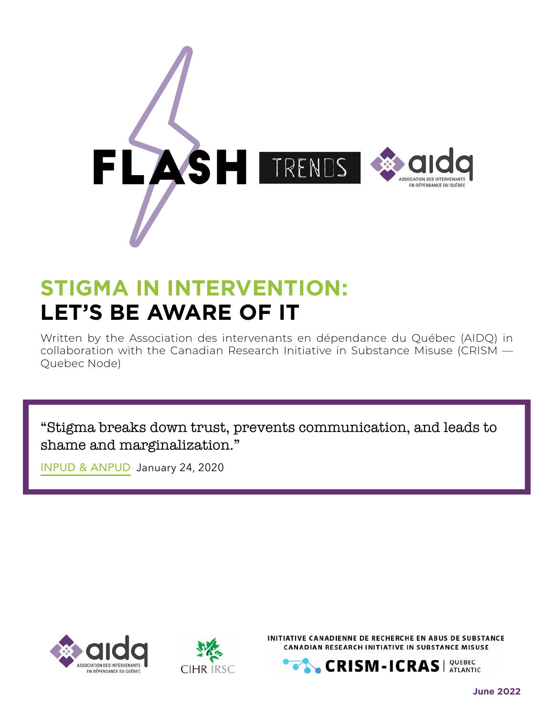

## **STIGMA IN INTERVENTION: LET'S BE AWARE OF IT**

Written by the Association des intervenants en dépendance du Québec (AIDQ) in collaboration with the Canadian Research Initiative in Substance Misuse (CRISM — Quebec Node)

"Stigma breaks down trust, prevents communication, and leads to shame and marginalization."

[INPUD & ANPUD](https://www.inpud.net/en/words-matter-language-statement-reference-guide), January 24, 2020





INITIATIVE CANADIENNE DE RECHERCHE EN ABUS DE SUBSTANCE CANADIAN RESEARCH INITIATIVE IN SUBSTANCE MISUSE

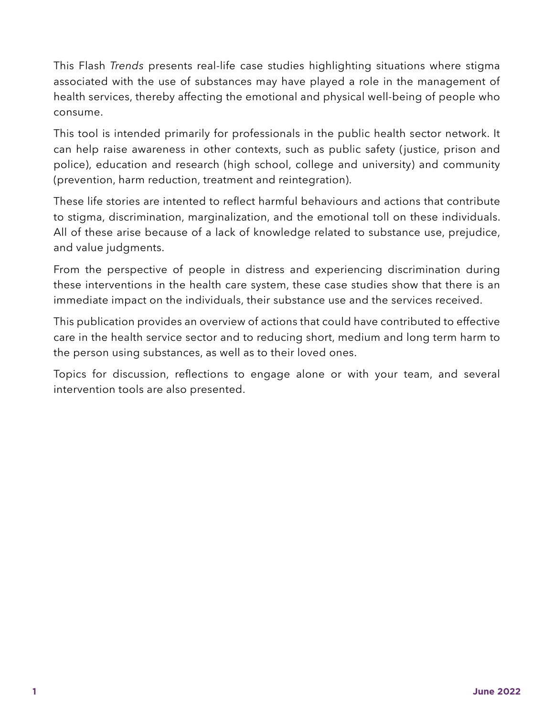This Flash *Trends* presents real-life case studies highlighting situations where stigma associated with the use of substances may have played a role in the management of health services, thereby affecting the emotional and physical well-being of people who consume.

This tool is intended primarily for professionals in the public health sector network. It can help raise awareness in other contexts, such as public safety (justice, prison and police), education and research (high school, college and university) and community (prevention, harm reduction, treatment and reintegration).

These life stories are intented to reflect harmful behaviours and actions that contribute to stigma, discrimination, marginalization, and the emotional toll on these individuals. All of these arise because of a lack of knowledge related to substance use, prejudice, and value judgments.

From the perspective of people in distress and experiencing discrimination during these interventions in the health care system, these case studies show that there is an immediate impact on the individuals, their substance use and the services received.

This publication provides an overview of actions that could have contributed to effective care in the health service sector and to reducing short, medium and long term harm to the person using substances, as well as to their loved ones.

Topics for discussion, reflections to engage alone or with your team, and several intervention tools are also presented.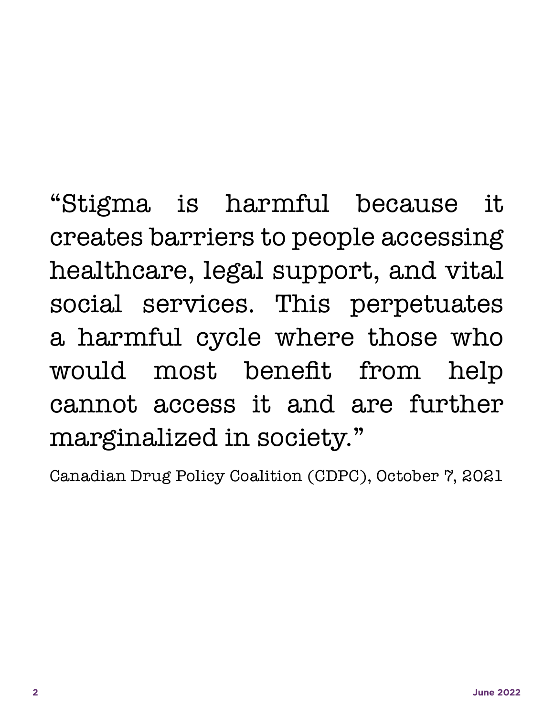"Stigma is harmful because it creates barriers to people accessing healthcare, legal support, and vital social services. This perpetuates a harmful cycle where those who would most benefit from help cannot access it and are further marginalized in society."

Canadian Drug Policy Coalition (CDPC), October 7, 2021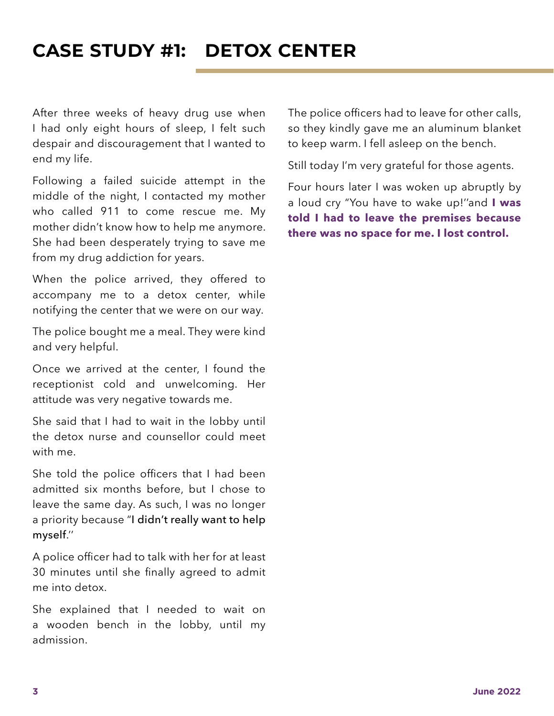### **CASE STUDY #1: DETOX CENTER**

After three weeks of heavy drug use when I had only eight hours of sleep, I felt such despair and discouragement that I wanted to end my life.

Following a failed suicide attempt in the middle of the night, I contacted my mother who called 911 to come rescue me. My mother didn't know how to help me anymore. She had been desperately trying to save me from my drug addiction for years.

When the police arrived, they offered to accompany me to a detox center, while notifying the center that we were on our way.

The police bought me a meal. They were kind and very helpful.

Once we arrived at the center, I found the receptionist cold and unwelcoming. Her attitude was very negative towards me.

She said that I had to wait in the lobby until the detox nurse and counsellor could meet with me.

She told the police officers that I had been admitted six months before, but I chose to leave the same day. As such, I was no longer a priority because "I didn't really want to help myself.''

A police officer had to talk with her for at least 30 minutes until she finally agreed to admit me into detox.

She explained that I needed to wait on a wooden bench in the lobby, until my admission.

The police officers had to leave for other calls, so they kindly gave me an aluminum blanket to keep warm. I fell asleep on the bench.

Still today I'm very grateful for those agents.

Four hours later I was woken up abruptly by a loud cry "You have to wake up!''and **I was told I had to leave the premises because there was no space for me. I lost control.**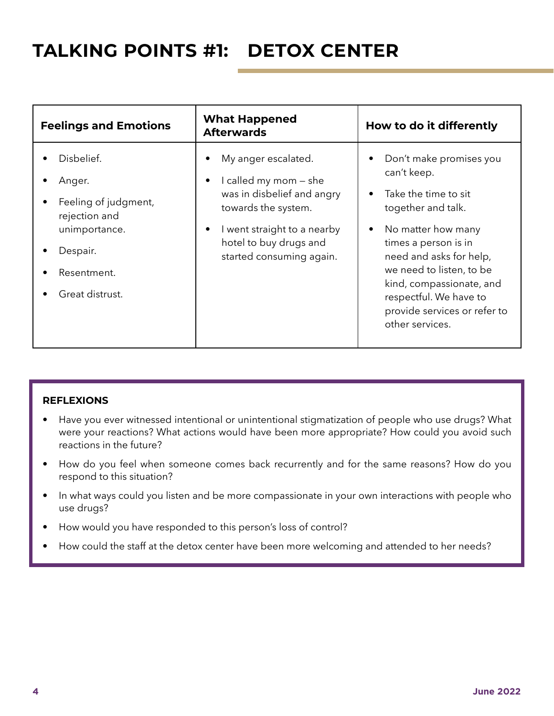### **TALKING POINTS #1: DETOX CENTER**

| <b>Feelings and Emotions</b>                                                                                                 | <b>What Happened</b><br><b>Afterwards</b>                                                                                                                                                           | How to do it differently                                                                                                                                                                                                                                                                                                     |
|------------------------------------------------------------------------------------------------------------------------------|-----------------------------------------------------------------------------------------------------------------------------------------------------------------------------------------------------|------------------------------------------------------------------------------------------------------------------------------------------------------------------------------------------------------------------------------------------------------------------------------------------------------------------------------|
| Disbelief.<br>Anger.<br>Feeling of judgment,<br>rejection and<br>unimportance.<br>Despair.<br>Resentment.<br>Great distrust. | My anger escalated.<br>I called my mom – she<br>$\bullet$<br>was in disbelief and angry<br>towards the system.<br>I went straight to a nearby<br>hotel to buy drugs and<br>started consuming again. | Don't make promises you<br>can't keep.<br>Take the time to sit<br>$\bullet$<br>together and talk.<br>No matter how many<br>$\bullet$<br>times a person is in<br>need and asks for help,<br>we need to listen, to be<br>kind, compassionate, and<br>respectful. We have to<br>provide services or refer to<br>other services. |

#### **REFLEXIONS**

- Have you ever witnessed intentional or unintentional stigmatization of people who use drugs? What were your reactions? What actions would have been more appropriate? How could you avoid such reactions in the future?
- How do you feel when someone comes back recurrently and for the same reasons? How do you respond to this situation?
- In what ways could you listen and be more compassionate in your own interactions with people who use drugs?
- How would you have responded to this person's loss of control?
- How could the staff at the detox center have been more welcoming and attended to her needs?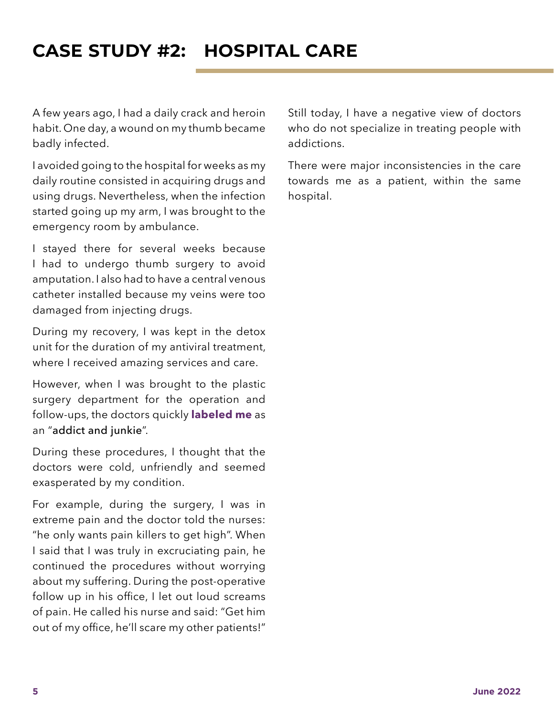### **CASE STUDY #2: HOSPITAL CARE**

A few years ago, I had a daily crack and heroin habit. One day, a wound on my thumb became badly infected.

I avoided going to the hospital for weeks as my daily routine consisted in acquiring drugs and using drugs. Nevertheless, when the infection started going up my arm, I was brought to the emergency room by ambulance.

I stayed there for several weeks because I had to undergo thumb surgery to avoid amputation. I also had to have a central venous catheter installed because my veins were too damaged from injecting drugs.

During my recovery, I was kept in the detox unit for the duration of my antiviral treatment, where I received amazing services and care.

However, when I was brought to the plastic surgery department for the operation and follow-ups, the doctors quickly **labeled me** as an "addict and junkie".

During these procedures, I thought that the doctors were cold, unfriendly and seemed exasperated by my condition.

For example, during the surgery, I was in extreme pain and the doctor told the nurses: "he only wants pain killers to get high". When I said that I was truly in excruciating pain, he continued the procedures without worrying about my suffering. During the post-operative follow up in his office, I let out loud screams of pain. He called his nurse and said: "Get him out of my office, he'll scare my other patients!" Still today, I have a negative view of doctors who do not specialize in treating people with addictions.

There were major inconsistencies in the care towards me as a patient, within the same hospital.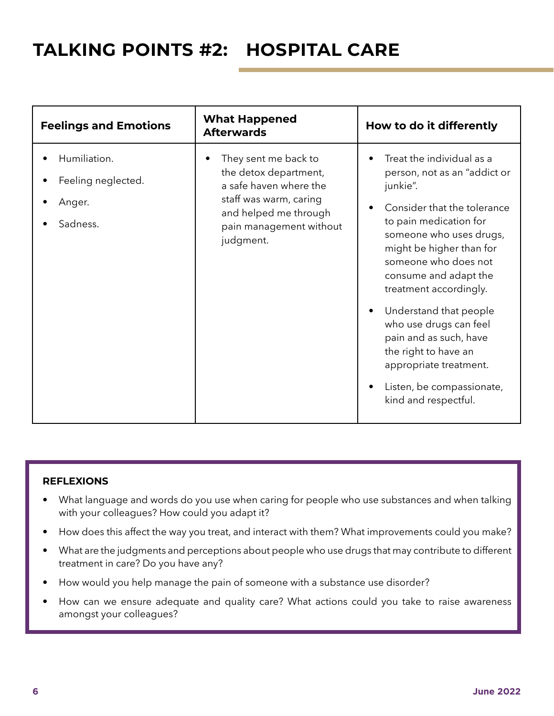### **TALKING POINTS #2: HOSPITAL CARE**

| <b>Feelings and Emotions</b>                             | <b>What Happened</b><br><b>Afterwards</b>                                                                                                                          | How to do it differently                                                                                                                                                                                                                                                                                                                                                                                                                              |
|----------------------------------------------------------|--------------------------------------------------------------------------------------------------------------------------------------------------------------------|-------------------------------------------------------------------------------------------------------------------------------------------------------------------------------------------------------------------------------------------------------------------------------------------------------------------------------------------------------------------------------------------------------------------------------------------------------|
| Humiliation.<br>Feeling neglected.<br>Anger.<br>Sadness. | They sent me back to<br>the detox department,<br>a safe haven where the<br>staff was warm, caring<br>and helped me through<br>pain management without<br>judgment. | Treat the individual as a<br>person, not as an "addict or<br>junkie".<br>Consider that the tolerance<br>to pain medication for<br>someone who uses drugs,<br>might be higher than for<br>someone who does not<br>consume and adapt the<br>treatment accordingly.<br>Understand that people<br>who use drugs can feel<br>pain and as such, have<br>the right to have an<br>appropriate treatment.<br>Listen, be compassionate,<br>kind and respectful. |

#### **REFLEXIONS**

- What language and words do you use when caring for people who use substances and when talking with your colleagues? How could you adapt it?
- How does this affect the way you treat, and interact with them? What improvements could you make?
- What are the judgments and perceptions about people who use drugs that may contribute to different treatment in care? Do you have any?
- How would you help manage the pain of someone with a substance use disorder?
- How can we ensure adequate and quality care? What actions could you take to raise awareness amongst your colleagues?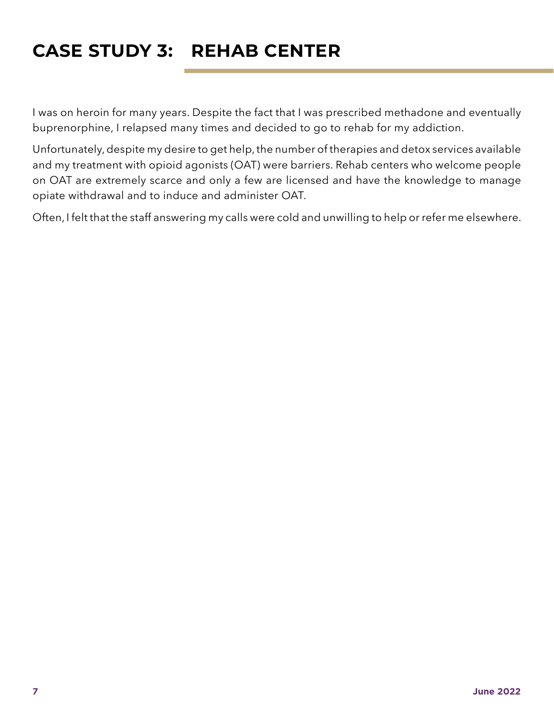### **CASE STUDY 3: REHAB CENTER**

I was on heroin for many years. Despite the fact that I was prescribed methadone and eventually buprenorphine, I relapsed many times and decided to go to rehab for my addiction.

Unfortunately, despite my desire to get help, the number of therapies and detox services available and my treatment with opioid agonists (OAT) were barriers. Rehab centers who welcome people on OAT are extremely scarce and only a few are licensed and have the knowledge to manage opiate withdrawal and to induce and administer OAT.

Often, I felt that the staff answering my calls were cold and unwilling to help or refer me elsewhere.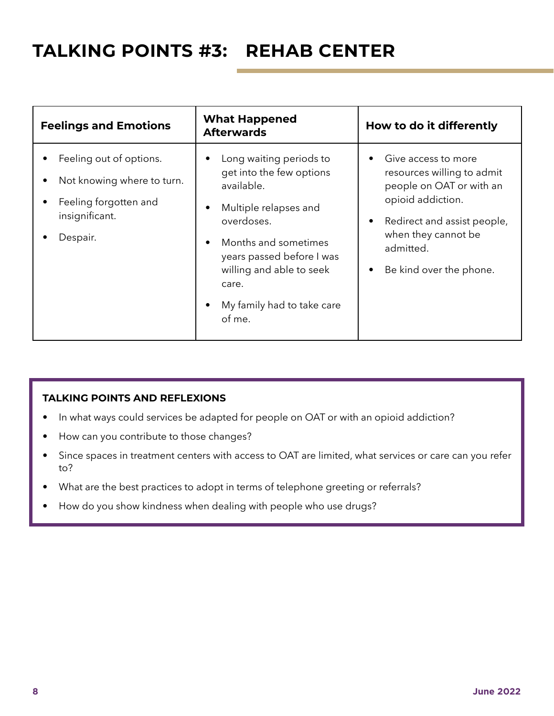### **TALKING POINTS #3: REHAB CENTER**

| <b>Feelings and Emotions</b>                                                                                 | <b>What Happened</b><br><b>Afterwards</b>                                                                                                                                                                                                                    | How to do it differently                                                                                                                                                                                      |
|--------------------------------------------------------------------------------------------------------------|--------------------------------------------------------------------------------------------------------------------------------------------------------------------------------------------------------------------------------------------------------------|---------------------------------------------------------------------------------------------------------------------------------------------------------------------------------------------------------------|
| Feeling out of options.<br>Not knowing where to turn.<br>Feeling forgotten and<br>insignificant.<br>Despair. | Long waiting periods to<br>get into the few options<br>available.<br>Multiple relapses and<br>٠<br>overdoses.<br>Months and sometimes<br>$\bullet$<br>years passed before I was<br>willing and able to seek<br>care.<br>My family had to take care<br>of me. | Give access to more<br>resources willing to admit<br>people on OAT or with an<br>opioid addiction.<br>Redirect and assist people,<br>$\bullet$<br>when they cannot be<br>admitted.<br>Be kind over the phone. |

#### **TALKING POINTS AND REFLEXIONS**

- In what ways could services be adapted for people on OAT or with an opioid addiction?
- How can you contribute to those changes?
- Since spaces in treatment centers with access to OAT are limited, what services or care can you refer to?
- What are the best practices to adopt in terms of telephone greeting or referrals?
- How do you show kindness when dealing with people who use drugs?